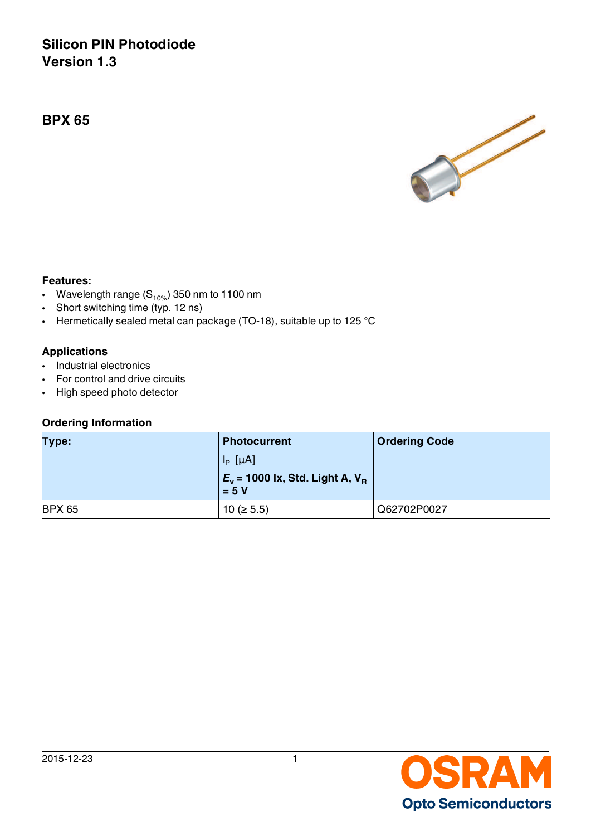# **Silicon PIN Photodiode Version 1.3**

**BPX 65**



#### **Features:**

- Wavelength range  $(S_{10\%})$  350 nm to 1100 nm
- Short switching time (typ. 12 ns)
- Hermetically sealed metal can package (TO-18), suitable up to 125 °C

### **Applications**

- Industrial electronics
- For control and drive circuits
- High speed photo detector

#### **Ordering Information**

| Type:         | <b>Photocurrent</b>                                      | <b>Ordering Code</b> |  |
|---------------|----------------------------------------------------------|----------------------|--|
|               | $I_P$ [µA]                                               |                      |  |
|               | $E_v$ = 1000 lx, Std. Light A, V <sub>B</sub><br>$= 5 V$ |                      |  |
| <b>BPX 65</b> | $10 ( \ge 5.5)$                                          | Q62702P0027          |  |

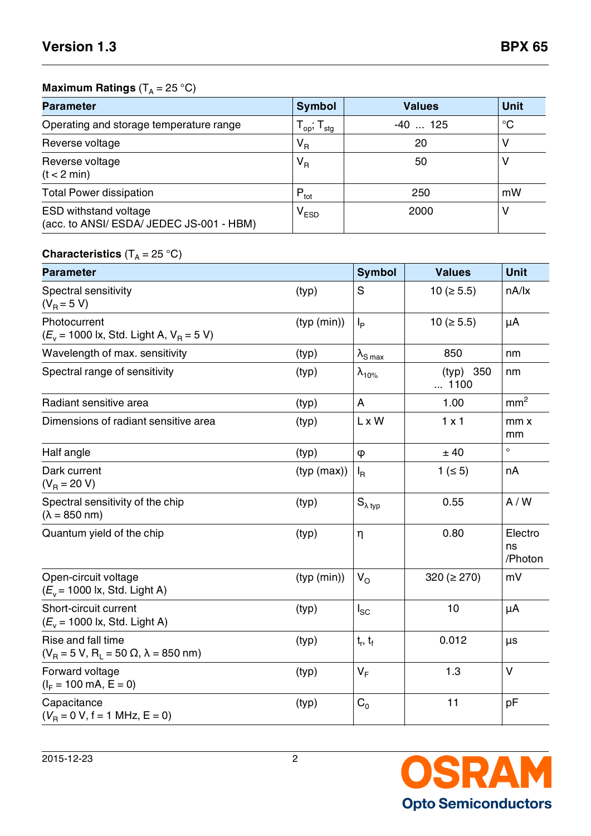# **Maximum Ratings** (T<sub>A</sub> = 25 °C)

| <b>Parameter</b>                                                         | <b>Symbol</b>                                            | <b>Values</b> | <b>Unit</b> |
|--------------------------------------------------------------------------|----------------------------------------------------------|---------------|-------------|
| Operating and storage temperature range                                  | $\mathsf{T}_{\mathsf{op}}$ , $\mathsf{T}_{\mathsf{stg}}$ | -40  125      | $^{\circ}C$ |
| Reverse voltage                                                          | $V_R$                                                    | 20            | ν           |
| Reverse voltage<br>(t < 2 min)                                           | $V_R$                                                    | 50            | ν           |
| <b>Total Power dissipation</b>                                           | $P_{\text{tot}}$                                         | 250           | mW          |
| <b>ESD withstand voltage</b><br>(acc. to ANSI/ ESDA/ JEDEC JS-001 - HBM) | V <sub>ESD</sub>                                         | 2000          | ٧           |

# **Characteristics** (T<sub>A</sub> = 25 °C)

| <b>Parameter</b>                                                                  |             | <b>Symbol</b>             | <b>Values</b>       | <b>Unit</b>              |
|-----------------------------------------------------------------------------------|-------------|---------------------------|---------------------|--------------------------|
| Spectral sensitivity<br>$(V_B = 5 V)$                                             | (typ)       | S                         | 10 ( $\geq 5.5$ )   | nA/lx                    |
| Photocurrent<br>$(E_v = 1000 \text{ lx}, \text{Std. Light A}, V_B = 5 \text{ V})$ | (typ (min)) | $I_{\mathsf{P}}$          | $10 \ ( \geq 5.5 )$ | μA                       |
| Wavelength of max. sensitivity                                                    | (typ)       | $\lambda_{\text{S max}}$  | 850                 | nm                       |
| Spectral range of sensitivity                                                     | (typ)       | $\lambda_{10\%}$          | (typ) 350<br>1100   | nm                       |
| Radiant sensitive area                                                            | (typ)       | A                         | 1.00                | mm <sup>2</sup>          |
| Dimensions of radiant sensitive area                                              | (typ)       | L x W                     | $1 \times 1$        | mmx<br>mm                |
| Half angle                                                                        | (typ)       | $\varphi$                 | ± 40                | $\circ$                  |
| Dark current<br>$(V_R = 20 V)$                                                    | (typ (max)) | $I_{\mathsf{R}}$          | 1 ( $\leq$ 5)       | nA                       |
| Spectral sensitivity of the chip<br>$(\lambda = 850$ nm)                          | (typ)       | $S_{\lambda\,\text{typ}}$ | 0.55                | A/W                      |
| Quantum yield of the chip                                                         | (typ)       | η                         | 0.80                | Electro<br>ns<br>/Photon |
| Open-circuit voltage<br>$(E_v = 1000 \text{ lx}, \text{Std. Light A})$            | (typ (min)) | $V_{\rm O}$               | $320 (= 270)$       | mV                       |
| Short-circuit current<br>$(E_v = 1000 \text{ lx}, \text{Std. Light A})$           | (typ)       | $I_{SC}$                  | 10                  | μA                       |
| Rise and fall time<br>$(V_R = 5 V, R_L = 50 \Omega, \lambda = 850 \text{ nm})$    | (typ)       | $t_r$ , $t_f$             | 0.012               | μs                       |
| Forward voltage<br>$(I_F = 100 \text{ mA}, E = 0)$                                | (typ)       | $V_F$                     | 1.3                 | $\vee$                   |
| Capacitance<br>$(V_B = 0 V, f = 1 MHz, E = 0)$                                    | (typ)       | $C_0$                     | 11                  | pF                       |

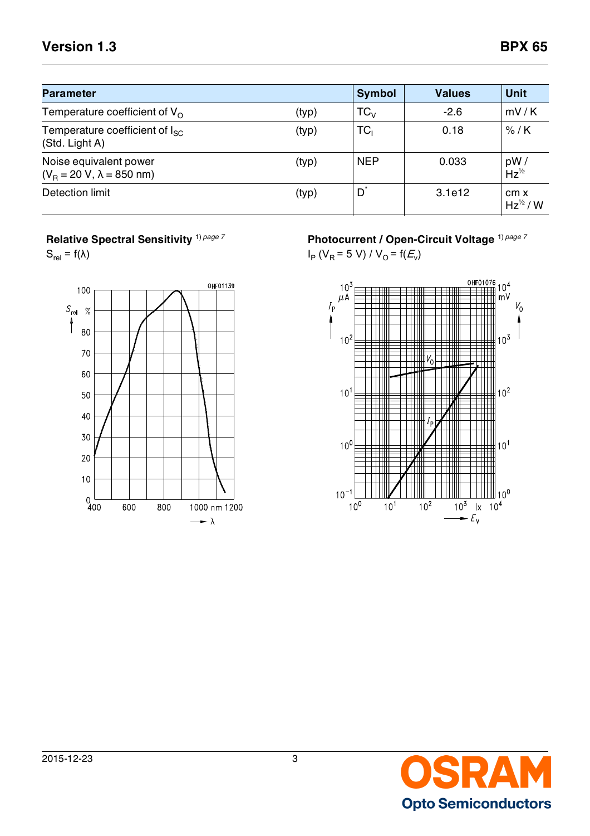# **Version 1.3 BPX 65**

| <b>Parameter</b>                                           |       | <b>Symbol</b> | <b>Values</b> | <b>Unit</b>                  |
|------------------------------------------------------------|-------|---------------|---------------|------------------------------|
| Temperature coefficient of $V_{\Omega}$                    | (typ) | $TC_{V}$      | $-2.6$        | mV/K                         |
| Temperature coefficient of $I_{SC}$<br>(Std. Light A)      | (typ) | TC,           | 0.18          | $%$ /K                       |
| Noise equivalent power<br>$(V_B = 20 V, \lambda = 850$ nm) | (typ) | <b>NEP</b>    | 0.033         | pW/<br>$Hz^{1/2}$            |
| Detection limit                                            | (typ) | $D^*$         | 3.1e12        | cm x<br>$Hz^{\frac{1}{2}}/W$ |

**Relative Spectral Sensitivity** 1) *page 7*

 $S_{rel} = f(\lambda)$ 



**Photocurrent / Open-Circuit Voltage** 1) *page 7*

 $I_P$  (V<sub>R</sub> = 5 V) / V<sub>O</sub> = f( $E_v$ )



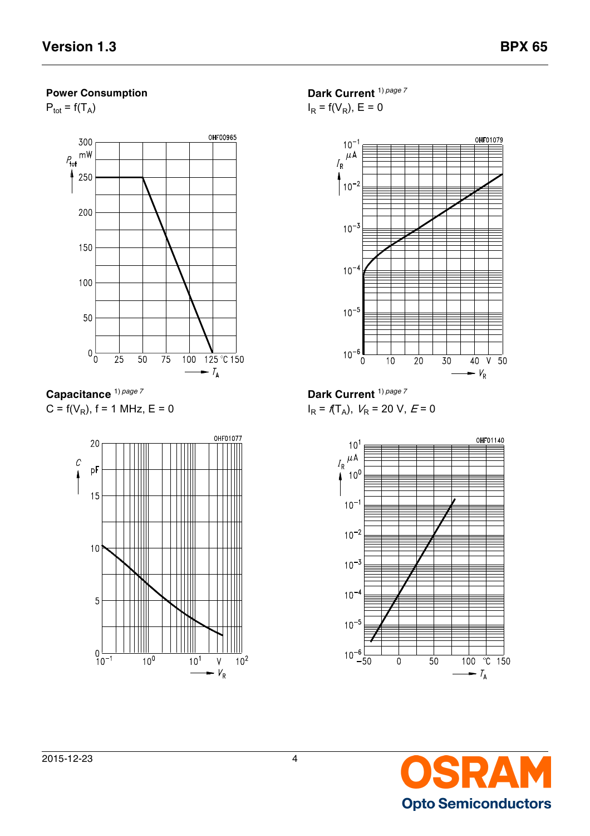## **Power Consumption**

 $P_{\text{tot}} = f(T_A)$ 



**Capacitance** 1) *page 7*  $C = f(V_R)$ , f = 1 MHz, E = 0



**Dark Current** 1) *page 7*  $I_R = f(V_R)$ , E = 0



**Dark Current** 1) *page 7*  $I_R = f(T_A)$ ,  $V_R = 20$  V,  $E = 0$ 



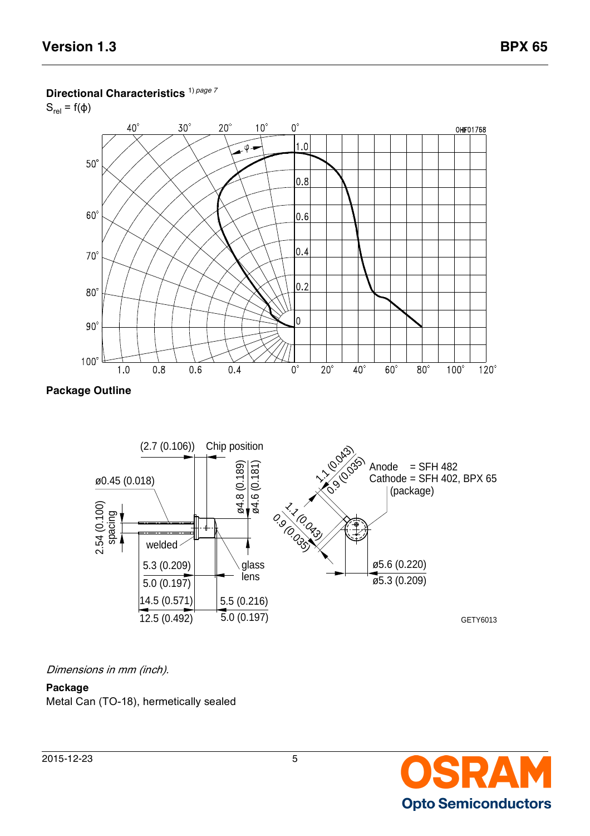### **Directional Characteristics** 1) *page 7*

 $S_{rel} = f(\phi)$ 







## Dimensions in mm (inch).

## **Package** Metal Can (TO-18), hermetically sealed

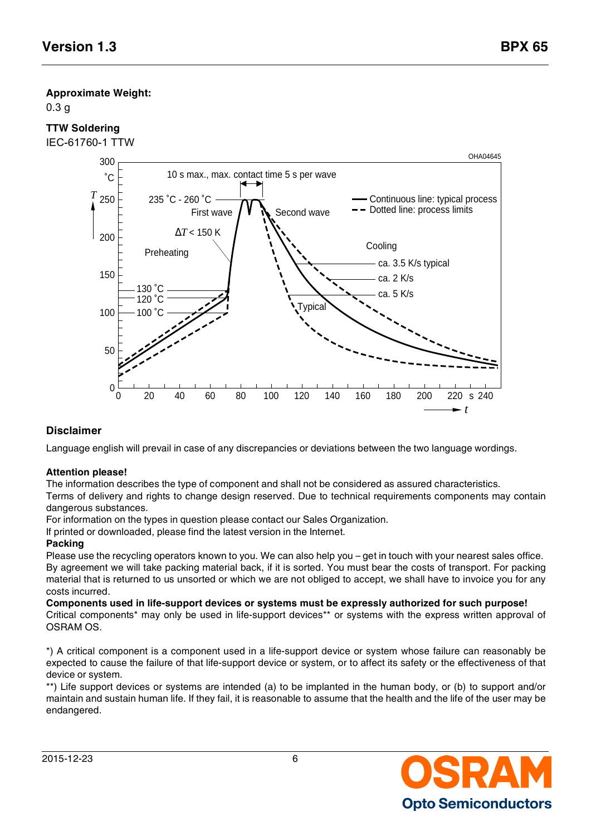## **Approximate Weight:**

0.3 g

# **TTW Soldering**

IEC-61760-1 TTW



# **Disclaimer**

Language english will prevail in case of any discrepancies or deviations between the two language wordings.

#### **Attention please!**

The information describes the type of component and shall not be considered as assured characteristics.

Terms of delivery and rights to change design reserved. Due to technical requirements components may contain dangerous substances.

For information on the types in question please contact our Sales Organization.

If printed or downloaded, please find the latest version in the Internet.

#### **Packing**

Please use the recycling operators known to you. We can also help you – get in touch with your nearest sales office. By agreement we will take packing material back, if it is sorted. You must bear the costs of transport. For packing material that is returned to us unsorted or which we are not obliged to accept, we shall have to invoice you for any costs incurred.

**Components used in life-support devices or systems must be expressly authorized for such purpose!** Critical components\* may only be used in life-support devices\*\* or systems with the express written approval of OSRAM OS.

\*) A critical component is a component used in a life-support device or system whose failure can reasonably be expected to cause the failure of that life-support device or system, or to affect its safety or the effectiveness of that device or system.

\*\*) Life support devices or systems are intended (a) to be implanted in the human body, or (b) to support and/or maintain and sustain human life. If they fail, it is reasonable to assume that the health and the life of the user may be endangered.

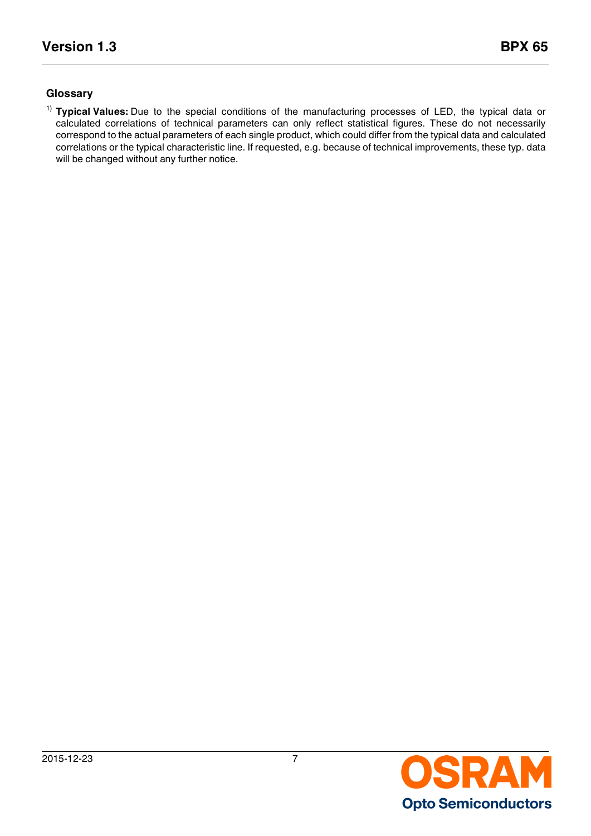## **Glossary**

1) **Typical Values:** Due to the special conditions of the manufacturing processes of LED, the typical data or calculated correlations of technical parameters can only reflect statistical figures. These do not necessarily correspond to the actual parameters of each single product, which could differ from the typical data and calculated correlations or the typical characteristic line. If requested, e.g. because of technical improvements, these typ. data will be changed without any further notice.